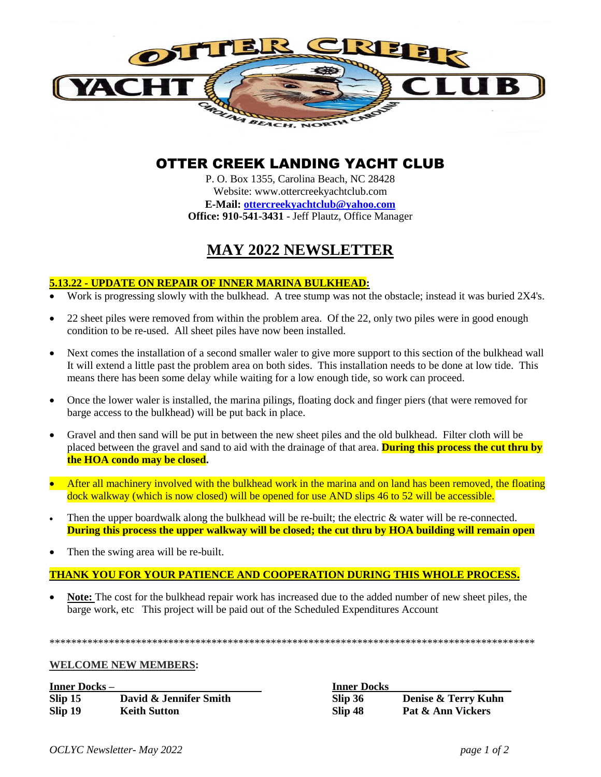

# OTTER CREEK LANDING YACHT CLUB

P. O. Box 1355, Carolina Beach, NC 28428 Website: www.ottercreekyachtclub.com **E-Mail: [ottercreekyachtclub@yahoo.com](mailto:ottercreekyachtclub@yahoo.com) Office: 910-541-3431** - Jeff Plautz, Office Manager

# **MAY 2022 NEWSLETTER**

#### **5.13.22 - UPDATE ON REPAIR OF INNER MARINA BULKHEAD:**

- Work is progressing slowly with the bulkhead. A tree stump was not the obstacle; instead it was buried 2X4's.
- 22 sheet piles were removed from within the problem area. Of the 22, only two piles were in good enough condition to be re-used. All sheet piles have now been installed.
- Next comes the installation of a second smaller waler to give more support to this section of the bulkhead wall It will extend a little past the problem area on both sides. This installation needs to be done at low tide. This means there has been some delay while waiting for a low enough tide, so work can proceed.
- Once the lower waler is installed, the marina pilings, floating dock and finger piers (that were removed for barge access to the bulkhead) will be put back in place.
- Gravel and then sand will be put in between the new sheet piles and the old bulkhead. Filter cloth will be placed between the gravel and sand to aid with the drainage of that area. **During this process the cut thru by the HOA condo may be closed.**
- After all machinery involved with the bulkhead work in the marina and on land has been removed, the floating dock walkway (which is now closed) will be opened for use AND slips 46 to 52 will be accessible.
- Then the upper boardwalk along the bulkhead will be re-built; the electric & water will be re-connected. **During this process the upper walkway will be closed; the cut thru by HOA building will remain open**
- Then the swing area will be re-built.

# **THANK YOU FOR YOUR PATIENCE AND COOPERATION DURING THIS WHOLE PROCESS.**

 **Note:** The cost for the bulkhead repair work has increased due to the added number of new sheet piles, the barge work, etc This project will be paid out of the Scheduled Expenditures Account

\*\*\*\*\*\*\*\*\*\*\*\*\*\*\*\*\*\*\*\*\*\*\*\*\*\*\*\*\*\*\*\*\*\*\*\*\*\*\*\*\*\*\*\*\*\*\*\*\*\*\*\*\*\*\*\*\*\*\*\*\*\*\*\*\*\*\*\*\*\*\*\*\*\*\*\*\*\*\*\*\*\*\*\*\*\*\*\*\*\*

**WELCOME NEW MEMBERS:** 

**Inner Docks – Inner Docks \_\_\_\_\_\_\_ Slip 15 David & Jennifer Smith Slip 19 Reith Sutton** 

| <b>Inner Docks</b> |                     |
|--------------------|---------------------|
| Slip 36            | Denise & Terry Kuhn |
| Slip 48            | Pat & Ann Vickers   |